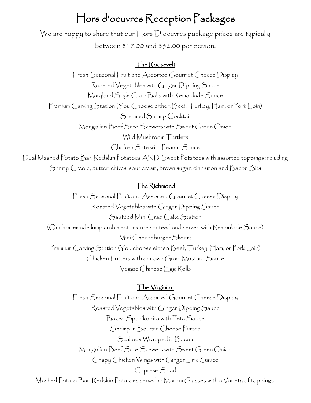## Hors d'oeuvres Reception Packages

We are happy to share that our Hors D'oeuvres package prices are typically between \$17.00 and \$32.00 per person.

#### The Roosevelt

Fresh Seasonal Fruit and Assorted Gourmet Cheese Display Roasted Vegetables with Ginger Dipping Sauce Maryland Style Crab Balls with Remoulade Sauce Premium Carving Station (You Choose either: Beef, Turkey, Ham, or Pork Loin) Steamed Shrimp Cocktail Mongolian Beef Sate Skewers with Sweet Green Onion Wild Mushroom Tartlets Chicken Sate with Peanut Sauce Dual Mashed Potato Bar: Redskin Potatoes AND Sweet Potatoes with assorted toppings including Shrimp Creole, butter, chives, sour cream, brown sugar, cinnamon and Bacon Bits

## The Richmond

Fresh Seasonal Fruit and Assorted Gourmet Cheese Display Roasted Vegetables with Ginger Dipping Sauce Sautéed Mini Crab Cake Station (Our homemade lump crab meat mixture sautéed and served with Remoulade Sauce) Mini Cheeseburger Sliders Premium Carving Station (You choose either: Beef, Turkey, Ham, or Pork Loin) Chicken Fritters with our own Grain Mustard Sauce Veggie Chinese Egg Rolls

## The Virginian

Fresh Seasonal Fruit and Assorted Gourmet Cheese Display Roasted Vegetables with Ginger Dipping Sauce Baked Spanikopita with Feta Sauce Shrimp in Boursin Cheese Purses Scallops Wrapped in Bacon Mongolian Beef Sate Skewers with Sweet Green Onion Crispy Chicken Wings with Ginger Lime Sauce Caprese Salad

Mashed Potato Bar: Redskin Potatoes served in Martini Glasses with a Variety of toppings.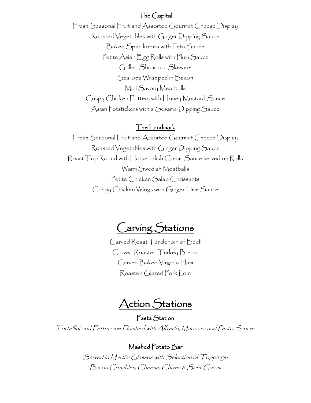## The Capital

Fresh Seasonal Fruit and Assorted Gourmet Cheese Display Roasted Vegetables with Ginger Dipping Sauce Baked Spanikopita with Feta Sauce Petite Asian Egg Rolls with Plum Sauce Grilled Shrimp on Skewers Scallops Wrapped in Bacon Mini Savory Meatballs Crispy Chicken Fritters with Honey Mustard Sauce Asian Potstickers with a Sesame Dipping Sauce

#### The Landmark

Fresh Seasonal Fruit and Assorted Gourmet Cheese Display Roasted Vegetables with Ginger Dipping Sauce Roast Top Round with Horseradish Cream Sauce served on Rolls Warm Swedish Meatballs Petite Chicken Salad Croissants Crispy Chicken Wings with Ginger Lime Sauce

Carving Stations

Carved Roast Tenderloin of Beef Carved Roasted Turkey Breast Carved Baked Virginia Ham Roasted Glazed Pork Loin

Action Stations

Pasta Station Tortellini and Fettuccine Finished with Alfredo, Marinara and Pesto Sauces

#### Mashed Potato Bar

Served in Martini Glasses with Selection of Toppings: Bacon Crumbles, Cheese, Chives & Sour Cream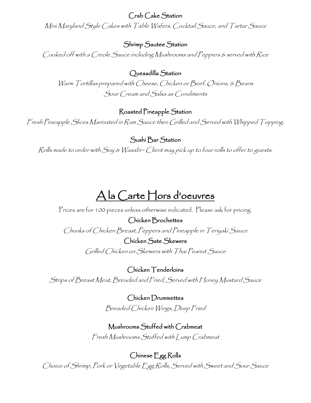Crab Cake Station

Mini Maryland Style Cakes with Table Wafers, Cocktail Sauce, and Tartar Sauce

Shrimp Sautee Station

Cooked off with a Creole Sauce including Mushrooms and Peppers & served with Rice

Quesadilla Station

Warm Tortillas prepared with Cheese, Chicken or Beef, Onions, & Beans Sour Cream and Salsa as Condiments

## Roasted Pineapple Station

Fresh Pineapple Slices Marinated in Rum Sauce then Grilled and Served with Whipped Topping.

Sushi Bar Station

Rolls made to order with Soy & Wasabi~ Client may pick up to four rolls to offer to guests.

# A la Carte Hors d'oeuvres

Prices are for 100 pieces unless otherwise indicated. Please ask for pricing.

Chicken Brochettes Chunks of Chicken Breast, Peppers and Pineapple in Teriyaki Sauce

> Chicken Sate Skewers Grilled Chicken on Skewers with Thai Peanut Sauce

Chicken Tenderloins Strips of Breast Meat, Breaded and Fried, Served with Honey Mustard Sauce

> Chicken Drummettes Breaded Chicken Wings, Deep Fried

Mushrooms Stuffed with Crabmeat Fresh Mushrooms Stuffed with Lump Crabmeat

Chinese Egg Rolls

Choice of Shrimp, Pork or Vegetable Egg Rolls, Served with Sweet and Sour Sauce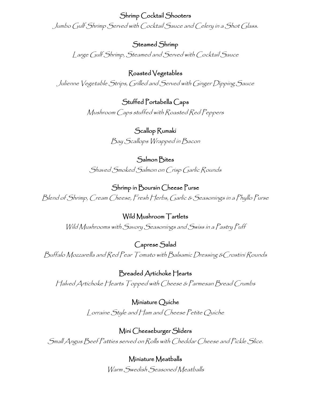Shrimp Cocktail Shooters Jumbo Gulf Shrimp Served with Cocktail Sauce and Celery in a Shot Glass.

Steamed Shrimp Large Gulf Shrimp, Steamed and Served with Cocktail Sauce

Roasted Vegetables Julienne Vegetable Strips, Grilled and Served with Ginger Dipping Sauce

> Stuffed Portabella Caps Mushroom Caps stuffed with Roasted Red Peppers

> > Scallop Rumaki Bay Scallops Wrapped in Bacon

Salmon Bites Shaved Smoked Salmon on Crisp Garlic Rounds

Shrimp in Boursin Cheese Purse Blend of Shrimp, Cream Cheese, Fresh Herbs, Garlic & Seasonings in a Phyllo Purse

Wild Mushroom Tartlets Wild Mushrooms with Savory Seasonings and Swiss in a Pastry Puff

Caprese Salad Buffalo Mozzarella and Red Pear Tomato with Balsamic Dressing &Crostini Rounds

Breaded Artichoke Hearts Halved Artichoke Hearts Topped with Cheese & Parmesan Bread Crumbs

> Miniature Quiche Lorraine Style and Ham and Cheese Petite Quiche

Mini Cheeseburger Sliders Small Angus Beef Patties served on Rolls with Cheddar Cheese and Pickle Slice.

> Miniature Meatballs Warm Swedish Seasoned Meatballs